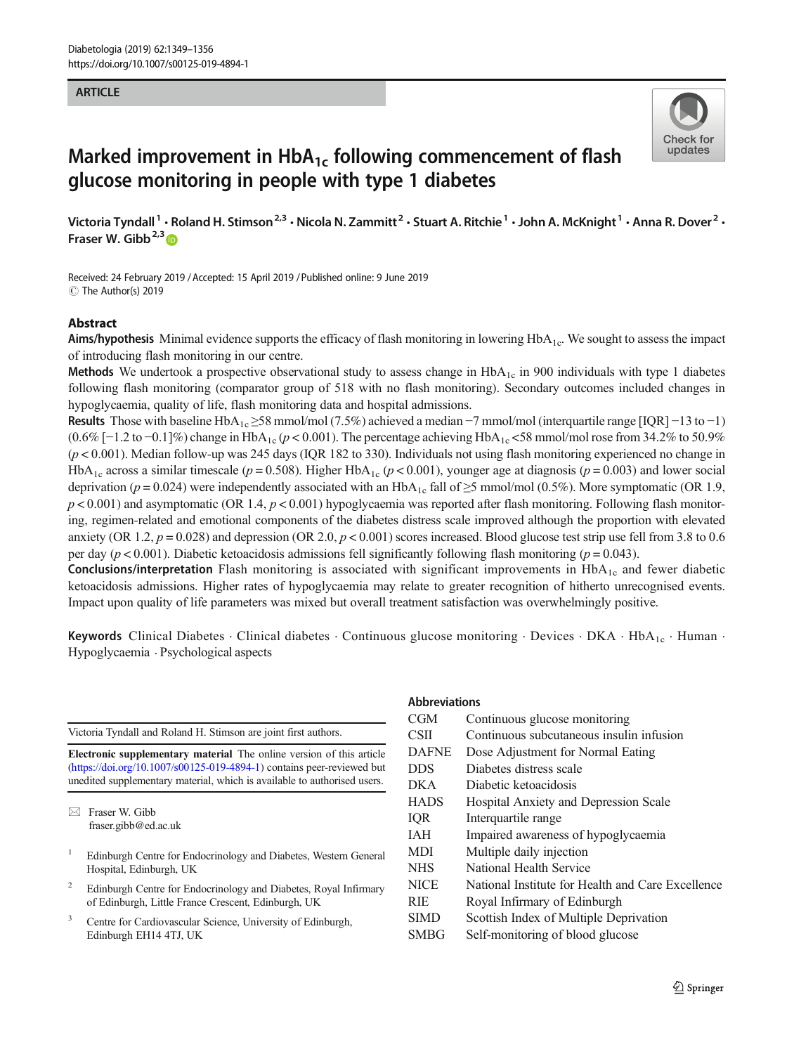### **ARTICLE**



# Marked improvement in  $HbA_{1c}$  following commencement of flash glucose monitoring in people with type 1 diabetes

Victoria Tyndall<sup>1</sup> • Roland H. Stimson<sup>2,3</sup> • Nicola N. Zammitt<sup>2</sup> • Stuart A. Ritchie<sup>1</sup> • John A. McKnight<sup>1</sup> • Anna R. Dover<sup>2</sup> • Fraser W. Gibb<sup>2,3</sup>

Received: 24 February 2019 /Accepted: 15 April 2019 /Published online: 9 June 2019 C The Author(s) 2019

### Abstract

Aims/hypothesis Minimal evidence supports the efficacy of flash monitoring in lowering  $HbA<sub>1c</sub>$ . We sought to assess the impact of introducing flash monitoring in our centre.

**Methods** We undertook a prospective observational study to assess change in  $HbA<sub>1c</sub>$  in 900 individuals with type 1 diabetes following flash monitoring (comparator group of 518 with no flash monitoring). Secondary outcomes included changes in hypoglycaemia, quality of life, flash monitoring data and hospital admissions.

Results Those with baseline HbA<sub>1c</sub> ≥58 mmol/mol (7.5%) achieved a median -7 mmol/mol (interquartile range [IQR] -13 to -1)  $(0.6\%$  [−1.2 to −0.1]%) change in HbA<sub>1c</sub> (p < 0.001). The percentage achieving HbA<sub>1c</sub> <58 mmol/mol rose from 34.2% to 50.9%  $(p < 0.001)$ . Median follow-up was 245 days (IQR 182 to 330). Individuals not using flash monitoring experienced no change in HbA<sub>1c</sub> across a similar timescale ( $p = 0.508$ ). Higher HbA<sub>1c</sub> ( $p < 0.001$ ), younger age at diagnosis ( $p = 0.003$ ) and lower social deprivation (p = 0.024) were independently associated with an HbA<sub>1c</sub> fall of  $\geq$ 5 mmol/mol (0.5%). More symptomatic (OR 1.9,  $p < 0.001$ ) and asymptomatic (OR 1.4,  $p < 0.001$ ) hypoglycaemia was reported after flash monitoring. Following flash monitoring, regimen-related and emotional components of the diabetes distress scale improved although the proportion with elevated anxiety (OR 1.2,  $p = 0.028$ ) and depression (OR 2.0,  $p < 0.001$ ) scores increased. Blood glucose test strip use fell from 3.8 to 0.6 per day ( $p < 0.001$ ). Diabetic ketoacidosis admissions fell significantly following flash monitoring ( $p = 0.043$ ).

**Conclusions/interpretation** Flash monitoring is associated with significant improvements in  $HbA_{1c}$  and fewer diabetic ketoacidosis admissions. Higher rates of hypoglycaemia may relate to greater recognition of hitherto unrecognised events. Impact upon quality of life parameters was mixed but overall treatment satisfaction was overwhelmingly positive.

Keywords Clinical Diabetes  $\cdot$  Clinical diabetes  $\cdot$  Continuous glucose monitoring  $\cdot$  Devices  $\cdot$  DKA  $\cdot$  HbA<sub>1c</sub>  $\cdot$  Human  $\cdot$ Hypoglycaemia . Psychological aspects

Victoria Tyndall and Roland H. Stimson are joint first authors.

Electronic supplementary material The online version of this article (https://doi.org/10.1007/s00125-019-4894-1) contains peer-reviewed but unedited supplementary material, which is available to authorised users.

- <sup>1</sup> Edinburgh Centre for Endocrinology and Diabetes, Western General Hospital, Edinburgh, UK
- <sup>2</sup> Edinburgh Centre for Endocrinology and Diabetes, Royal Infirmary of Edinburgh, Little France Crescent, Edinburgh, UK
- Centre for Cardiovascular Science, University of Edinburgh, Edinburgh EH14 4TJ, UK

#### Abbreviations

| <b>CGM</b>   | Continuous glucose monitoring                     |
|--------------|---------------------------------------------------|
| CSII         | Continuous subcutaneous insulin infusion          |
| <b>DAFNE</b> | Dose Adjustment for Normal Eating                 |
| <b>DDS</b>   | Diabetes distress scale                           |
| <b>DKA</b>   | Diabetic ketoacidosis                             |
| <b>HADS</b>  | Hospital Anxiety and Depression Scale             |
| IQR          | Interquartile range                               |
| <b>IAH</b>   | Impaired awareness of hypoglycaemia               |
| <b>MDI</b>   | Multiple daily injection                          |
| <b>NHS</b>   | National Health Service                           |
| <b>NICE</b>  | National Institute for Health and Care Excellence |
| <b>RIE</b>   | Royal Infirmary of Edinburgh                      |
| <b>SIMD</b>  | Scottish Index of Multiple Deprivation            |
| <b>SMBG</b>  | Self-monitoring of blood glucose                  |
|              |                                                   |

 $\boxtimes$  Fraser W. Gibb fraser.gibb@ed.ac.uk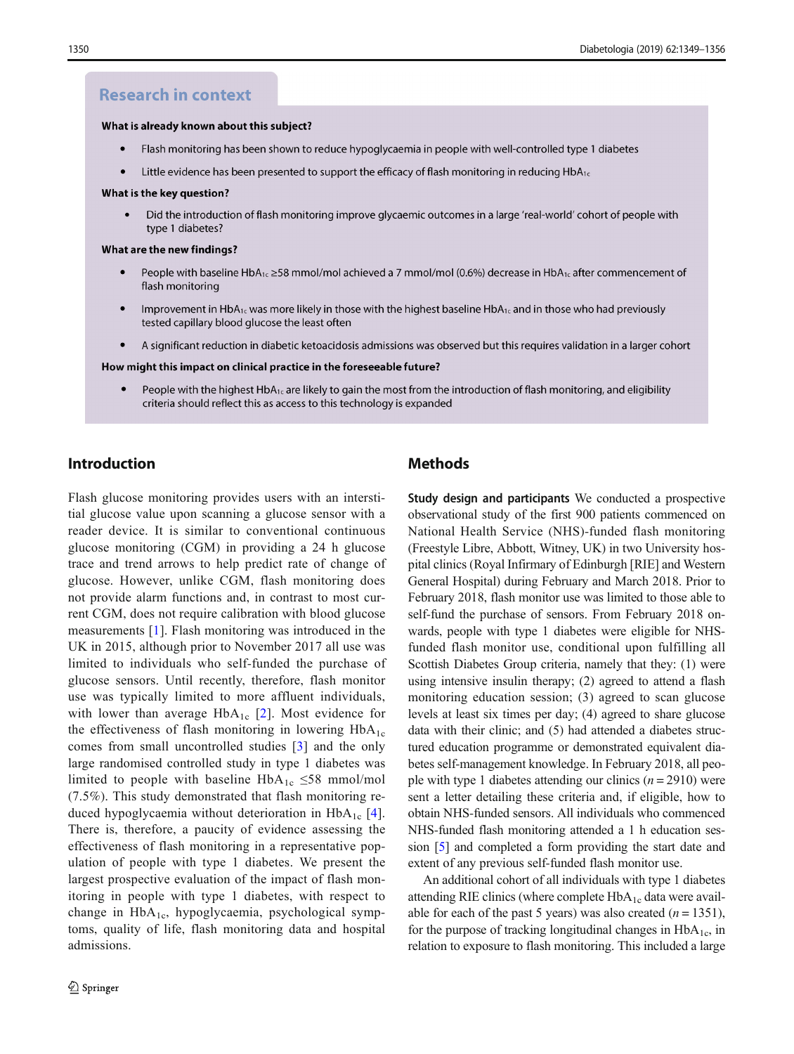### **Research in context**

#### What is already known about this subject?

- $\bullet$ Flash monitoring has been shown to reduce hypoglycaemia in people with well-controlled type 1 diabetes
- Little evidence has been presented to support the efficacy of flash monitoring in reducing  $HDA_{1c}$

#### What is the key question?

Did the introduction of flash monitoring improve glycaemic outcomes in a large 'real-world' cohort of people with type 1 diabetes?

#### What are the new findings?

- People with baseline HbA<sub>1c</sub> ≥58 mmol/mol achieved a 7 mmol/mol (0.6%) decrease in HbA<sub>1c</sub> after commencement of flash monitoring
- Improvement in HbA<sub>1c</sub> was more likely in those with the highest baseline HbA<sub>1c</sub> and in those who had previously tested capillary blood glucose the least often
- $\bullet$ A significant reduction in diabetic ketoacidosis admissions was observed but this requires validation in a larger cohort

#### How might this impact on clinical practice in the foreseeable future?

 $\bullet$ People with the highest HbA<sub>1c</sub> are likely to gain the most from the introduction of flash monitoring, and eligibility criteria should reflect this as access to this technology is expanded

## Introduction

Flash glucose monitoring provides users with an interstitial glucose value upon scanning a glucose sensor with a reader device. It is similar to conventional continuous glucose monitoring (CGM) in providing a 24 h glucose trace and trend arrows to help predict rate of change of glucose. However, unlike CGM, flash monitoring does not provide alarm functions and, in contrast to most current CGM, does not require calibration with blood glucose measurements [1]. Flash monitoring was introduced in the UK in 2015, although prior to November 2017 all use was limited to individuals who self-funded the purchase of glucose sensors. Until recently, therefore, flash monitor use was typically limited to more affluent individuals, with lower than average  $HbA_{1c}$  [2]. Most evidence for the effectiveness of flash monitoring in lowering  $HbA_{1c}$ comes from small uncontrolled studies [3] and the only large randomised controlled study in type 1 diabetes was limited to people with baseline HbA<sub>1c</sub>  $\leq$ 58 mmol/mol (7.5%). This study demonstrated that flash monitoring reduced hypoglycaemia without deterioration in  $HbA_{1c}$  [4]. There is, therefore, a paucity of evidence assessing the effectiveness of flash monitoring in a representative population of people with type 1 diabetes. We present the largest prospective evaluation of the impact of flash monitoring in people with type 1 diabetes, with respect to change in  $HbA_{1c}$ , hypoglycaemia, psychological symptoms, quality of life, flash monitoring data and hospital admissions.

# **Methods**

Study design and participants We conducted a prospective observational study of the first 900 patients commenced on National Health Service (NHS)-funded flash monitoring (Freestyle Libre, Abbott, Witney, UK) in two University hospital clinics (Royal Infirmary of Edinburgh [RIE] and Western General Hospital) during February and March 2018. Prior to February 2018, flash monitor use was limited to those able to self-fund the purchase of sensors. From February 2018 onwards, people with type 1 diabetes were eligible for NHSfunded flash monitor use, conditional upon fulfilling all Scottish Diabetes Group criteria, namely that they: (1) were using intensive insulin therapy; (2) agreed to attend a flash monitoring education session; (3) agreed to scan glucose levels at least six times per day; (4) agreed to share glucose data with their clinic; and (5) had attended a diabetes structured education programme or demonstrated equivalent diabetes self-management knowledge. In February 2018, all people with type 1 diabetes attending our clinics  $(n = 2910)$  were sent a letter detailing these criteria and, if eligible, how to obtain NHS-funded sensors. All individuals who commenced NHS-funded flash monitoring attended a 1 h education session [5] and completed a form providing the start date and extent of any previous self-funded flash monitor use.

An additional cohort of all individuals with type 1 diabetes attending RIE clinics (where complete  $HbA_{1c}$  data were available for each of the past 5 years) was also created  $(n = 1351)$ , for the purpose of tracking longitudinal changes in  $HbA_{1c}$ , in relation to exposure to flash monitoring. This included a large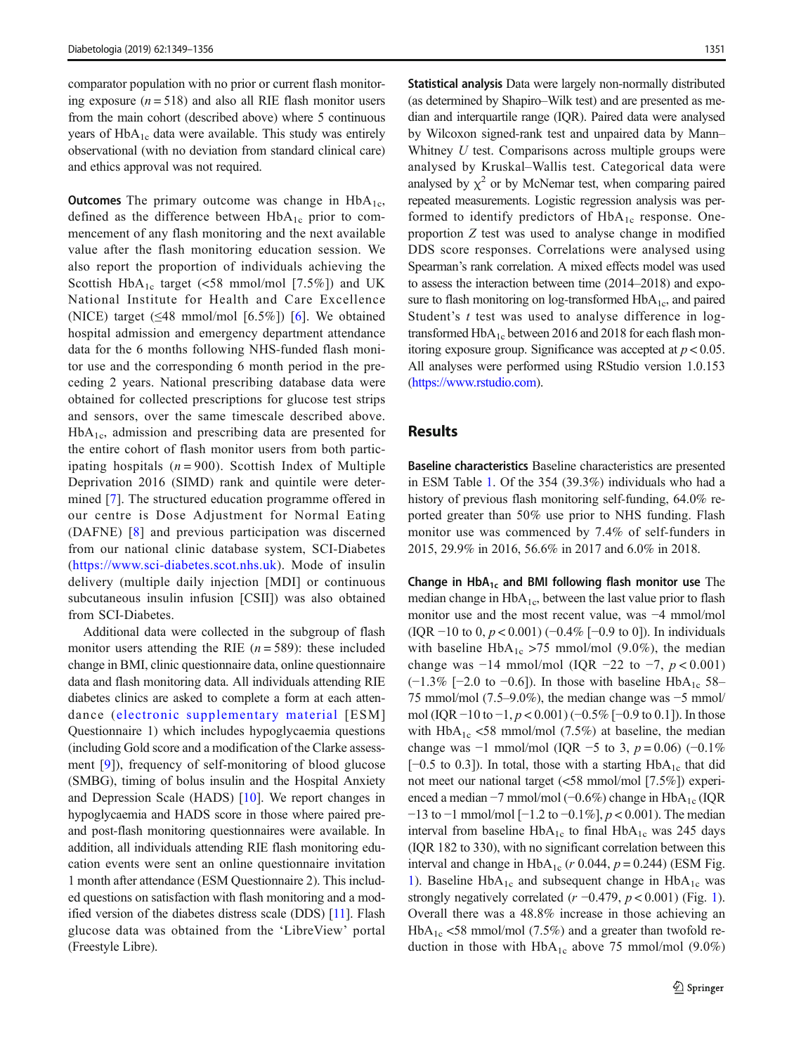comparator population with no prior or current flash monitoring exposure  $(n = 518)$  and also all RIE flash monitor users from the main cohort (described above) where 5 continuous years of  $HbA_{1c}$  data were available. This study was entirely observational (with no deviation from standard clinical care) and ethics approval was not required.

**Outcomes** The primary outcome was change in  $HbA_{1c}$ , defined as the difference between  $HbA_{1c}$  prior to commencement of any flash monitoring and the next available value after the flash monitoring education session. We also report the proportion of individuals achieving the Scottish HbA<sub>1c</sub> target (<58 mmol/mol [7.5%]) and UK National Institute for Health and Care Excellence (NICE) target  $(\leq 48 \text{ mmol/mol} \mid [6.5\%])$  [6]. We obtained hospital admission and emergency department attendance data for the 6 months following NHS-funded flash monitor use and the corresponding 6 month period in the preceding 2 years. National prescribing database data were obtained for collected prescriptions for glucose test strips and sensors, over the same timescale described above.  $HbA<sub>1c</sub>$ , admission and prescribing data are presented for the entire cohort of flash monitor users from both participating hospitals  $(n = 900)$ . Scottish Index of Multiple Deprivation 2016 (SIMD) rank and quintile were determined [7]. The structured education programme offered in our centre is Dose Adjustment for Normal Eating (DAFNE) [8] and previous participation was discerned from our national clinic database system, SCI-Diabetes (https://www.sci-diabetes.scot.nhs.uk). Mode of insulin delivery (multiple daily injection [MDI] or continuous subcutaneous insulin infusion [CSII]) was also obtained from SCI-Diabetes.

Additional data were collected in the subgroup of flash monitor users attending the RIE  $(n = 589)$ : these included change in BMI, clinic questionnaire data, online questionnaire data and flash monitoring data. All individuals attending RIE diabetes clinics are asked to complete a form at each attendance (electronic supplementary material [ESM] Questionnaire 1) which includes hypoglycaemia questions (including Gold score and a modification of the Clarke assessment [9]), frequency of self-monitoring of blood glucose (SMBG), timing of bolus insulin and the Hospital Anxiety and Depression Scale (HADS) [10]. We report changes in hypoglycaemia and HADS score in those where paired preand post-flash monitoring questionnaires were available. In addition, all individuals attending RIE flash monitoring education events were sent an online questionnaire invitation 1 month after attendance (ESM Questionnaire 2). This included questions on satisfaction with flash monitoring and a modified version of the diabetes distress scale (DDS) [11]. Flash glucose data was obtained from the 'LibreView' portal (Freestyle Libre).

Statistical analysis Data were largely non-normally distributed (as determined by Shapiro–Wilk test) and are presented as median and interquartile range (IQR). Paired data were analysed by Wilcoxon signed-rank test and unpaired data by Mann– Whitney  $U$  test. Comparisons across multiple groups were analysed by Kruskal–Wallis test. Categorical data were analysed by  $\chi^2$  or by McNemar test, when comparing paired repeated measurements. Logistic regression analysis was performed to identify predictors of  $HbA_{1c}$  response. Oneproportion Z test was used to analyse change in modified DDS score responses. Correlations were analysed using Spearman's rank correlation. A mixed effects model was used to assess the interaction between time (2014–2018) and exposure to flash monitoring on log-transformed  $HbA_{1c}$ , and paired Student's  $t$  test was used to analyse difference in logtransformed  $HbA_{1c}$  between 2016 and 2018 for each flash monitoring exposure group. Significance was accepted at  $p < 0.05$ . All analyses were performed using RStudio version 1.0.153 (https://www.rstudio.com).

### **Results**

Baseline characteristics Baseline characteristics are presented in ESM Table 1. Of the 354 (39.3%) individuals who had a history of previous flash monitoring self-funding, 64.0% reported greater than 50% use prior to NHS funding. Flash monitor use was commenced by 7.4% of self-funders in 2015, 29.9% in 2016, 56.6% in 2017 and 6.0% in 2018.

Change in  $HbA_{1c}$  and BMI following flash monitor use The median change in  $HbA_{1c}$ , between the last value prior to flash monitor use and the most recent value, was −4 mmol/mol (IQR  $-10$  to 0,  $p < 0.001$ ) ( $-0.4\%$  [ $-0.9$  to 0]). In individuals with baseline HbA<sub>1c</sub> >75 mmol/mol (9.0%), the median change was  $-14 \text{ mmol/mol}$  (IQR  $-22 \text{ to } -7$ ,  $p < 0.001$ )  $(-1.3\%$  [−2.0 to −0.6]). In those with baseline HbA<sub>1c</sub> 58– 75 mmol/mol (7.5–9.0%), the median change was −5 mmol/ mol (IQR  $-10$  to  $-1$ ,  $p < 0.001$ ) ( $-0.5\%$  [ $-0.9$  to 0.1]). In those with  $HbA_{1c}$  <58 mmol/mol (7.5%) at baseline, the median change was  $-1$  mmol/mol (IQR  $-5$  to 3,  $p = 0.06$ ) ( $-0.1\%$ ) [ $-0.5$  to 0.3]). In total, those with a starting HbA<sub>1c</sub> that did not meet our national target (<58 mmol/mol [7.5%]) experienced a median  $-7$  mmol/mol ( $-0.6\%$ ) change in HbA<sub>1c</sub> (IQR −13 to −1 mmol/mol [−1.2 to −0.1%], p < 0.001). The median interval from baseline  $HbA_{1c}$  to final  $HbA_{1c}$  was 245 days (IQR 182 to 330), with no significant correlation between this interval and change in  $HbA_{1c}$  (r 0.044,  $p = 0.244$ ) (ESM Fig. 1). Baseline  $HbA_{1c}$  and subsequent change in  $HbA_{1c}$  was strongly negatively correlated ( $r = -0.479$ ,  $p < 0.001$ ) (Fig. 1). Overall there was a 48.8% increase in those achieving an  $HbA_{1c}$  <58 mmol/mol (7.5%) and a greater than twofold reduction in those with  $HbA_{1c}$  above 75 mmol/mol (9.0%)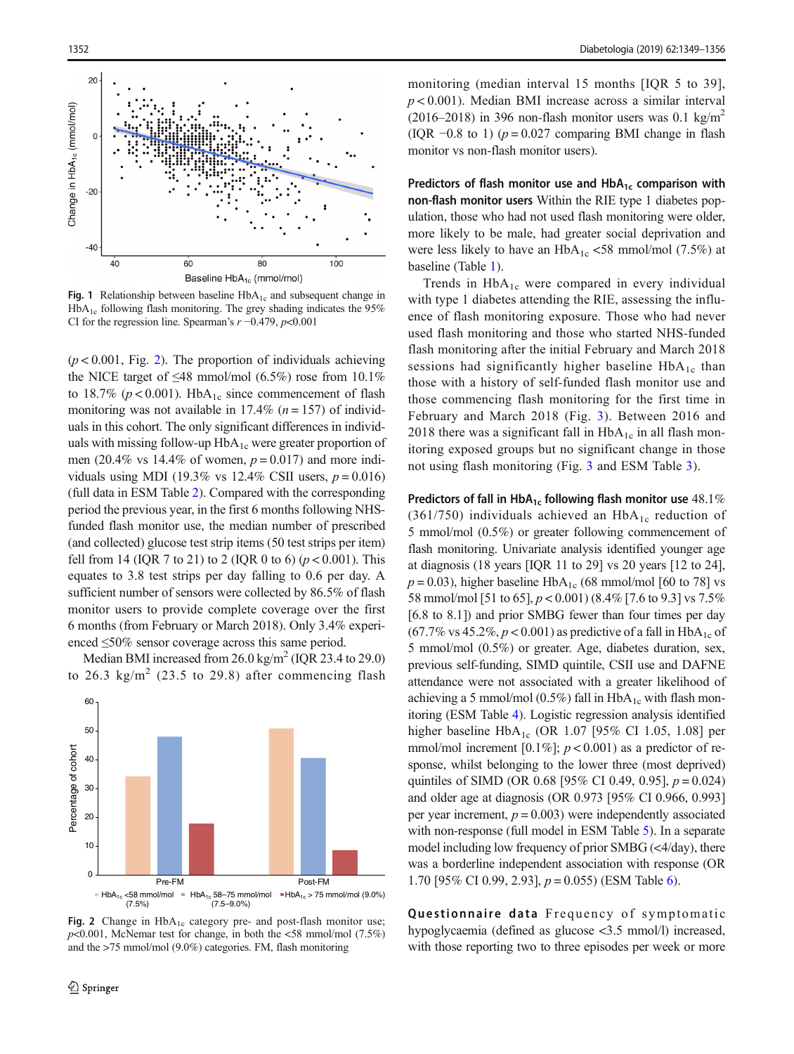

**Fig. 1** Relationship between baseline  $HbA_{1c}$  and subsequent change in  $HbA_{1c}$  following flash monitoring. The grey shading indicates the 95% CI for the regression line. Spearman's  $r = 0.479$ ,  $p < 0.001$ 

 $(p < 0.001$ , Fig. 2). The proportion of individuals achieving the NICE target of  $\leq$ 48 mmol/mol (6.5%) rose from 10.1% to 18.7% ( $p < 0.001$ ). HbA<sub>1c</sub> since commencement of flash monitoring was not available in 17.4%  $(n = 157)$  of individuals in this cohort. The only significant differences in individuals with missing follow-up HbA<sub>1c</sub> were greater proportion of men (20.4% vs 14.4% of women,  $p = 0.017$ ) and more individuals using MDI (19.3% vs 12.4% CSII users,  $p = 0.016$ ) (full data in ESM Table 2). Compared with the corresponding period the previous year, in the first 6 months following NHSfunded flash monitor use, the median number of prescribed (and collected) glucose test strip items (50 test strips per item) fell from 14 (IQR 7 to 21) to 2 (IQR 0 to 6) ( $p < 0.001$ ). This equates to 3.8 test strips per day falling to 0.6 per day. A sufficient number of sensors were collected by 86.5% of flash monitor users to provide complete coverage over the first 6 months (from February or March 2018). Only 3.4% experienced ≤50% sensor coverage across this same period.

Median BMI increased from  $26.0 \text{ kg/m}^2$  (IQR 23.4 to 29.0) to 26.3  $\text{kg/m}^2$  (23.5 to 29.8) after commencing flash



Fig. 2 Change in  $HbA_{1c}$  category pre- and post-flash monitor use;  $p<0.001$ , McNemar test for change, in both the  $\langle 58 \text{ mmol/mol } (7.5\%)$ and the >75 mmol/mol (9.0%) categories. FM, flash monitoring

monitoring (median interval 15 months [IQR 5 to 39],  $p < 0.001$ ). Median BMI increase across a similar interval (2016–2018) in 396 non-flash monitor users was 0.1 kg/m<sup>2</sup> (IQR  $-0.8$  to 1) ( $p = 0.027$  comparing BMI change in flash monitor vs non-flash monitor users).

Predictors of flash monitor use and  $HbA_{1c}$  comparison with non-flash monitor users Within the RIE type 1 diabetes population, those who had not used flash monitoring were older, more likely to be male, had greater social deprivation and were less likely to have an  $HbA_{1c} < 58$  mmol/mol (7.5%) at baseline (Table 1).

Trends in  $HbA_{1c}$  were compared in every individual with type 1 diabetes attending the RIE, assessing the influence of flash monitoring exposure. Those who had never used flash monitoring and those who started NHS-funded flash monitoring after the initial February and March 2018 sessions had significantly higher baseline  $HbA_{1c}$  than those with a history of self-funded flash monitor use and those commencing flash monitoring for the first time in February and March 2018 (Fig. 3). Between 2016 and 2018 there was a significant fall in  $HbA_{1c}$  in all flash monitoring exposed groups but no significant change in those not using flash monitoring (Fig. 3 and ESM Table 3).

Predictors of fall in  $HbA_{1c}$  following flash monitor use  $48.1\%$ (361/750) individuals achieved an  $HbA_{1c}$  reduction of 5 mmol/mol (0.5%) or greater following commencement of flash monitoring. Univariate analysis identified younger age at diagnosis (18 years [IQR 11 to 29] vs 20 years [12 to 24],  $p = 0.03$ ), higher baseline HbA<sub>1c</sub> (68 mmol/mol [60 to 78] vs 58 mmol/mol [51 to 65], p < 0.001) (8.4% [7.6 to 9.3] vs 7.5% [6.8 to 8.1]) and prior SMBG fewer than four times per day (67.7% vs 45.2%,  $p < 0.001$ ) as predictive of a fall in HbA<sub>1c</sub> of 5 mmol/mol (0.5%) or greater. Age, diabetes duration, sex, previous self-funding, SIMD quintile, CSII use and DAFNE attendance were not associated with a greater likelihood of achieving a 5 mmol/mol (0.5%) fall in  $HbA_{1c}$  with flash monitoring (ESM Table 4). Logistic regression analysis identified higher baseline  $HbA_{1c}$  (OR 1.07 [95% CI 1.05, 1.08] per mmol/mol increment [0.1%];  $p < 0.001$ ) as a predictor of response, whilst belonging to the lower three (most deprived) quintiles of SIMD (OR 0.68 [95% CI 0.49, 0.95],  $p = 0.024$ ) and older age at diagnosis (OR 0.973 [95% CI 0.966, 0.993] per year increment,  $p = 0.003$ ) were independently associated with non-response (full model in ESM Table 5). In a separate model including low frequency of prior SMBG (<4/day), there was a borderline independent association with response (OR 1.70 [95% CI 0.99, 2.93],  $p = 0.055$ ) (ESM Table 6).

Questionnaire data Frequency of symptomatic hypoglycaemia (defined as glucose <3.5 mmol/l) increased, with those reporting two to three episodes per week or more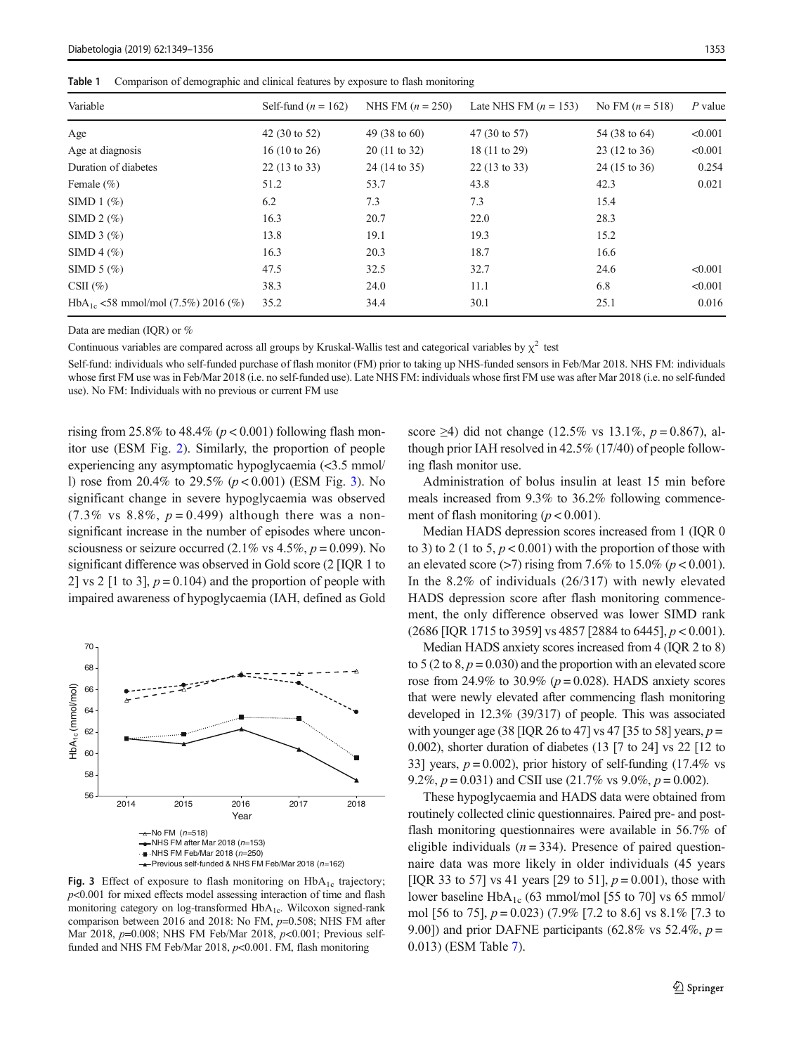Table 1 Comparison of demographic and clinical features by exposure to flash monitoring

| Variable                                | Self-fund $(n = 162)$   | NHS FM $(n = 250)$       | Late NHS FM $(n = 153)$ | No FM $(n = 518)$       | $P$ value |
|-----------------------------------------|-------------------------|--------------------------|-------------------------|-------------------------|-----------|
| Age                                     | 42 (30 to 52)           | 49 $(38 \text{ to } 60)$ | 47 (30 to 57)           | 54 (38 to 64)           | < 0.001   |
| Age at diagnosis                        | 16(10 to 26)            | $20(11 \text{ to } 32)$  | 18 (11 to 29)           | $23(12 \text{ to } 36)$ | < 0.001   |
| Duration of diabetes                    | $22(13 \text{ to } 33)$ | 24 (14 to 35)            | $22(13 \text{ to } 33)$ | 24 (15 to 36)           | 0.254     |
| Female $(\% )$                          | 51.2                    | 53.7                     | 43.8                    | 42.3                    | 0.021     |
| SIMD $1$ $(\%)$                         | 6.2                     | 7.3                      | 7.3                     | 15.4                    |           |
| SIMD $2 \left( \% \right)$              | 16.3                    | 20.7                     | 22.0                    | 28.3                    |           |
| SIMD $3$ $(\%)$                         | 13.8                    | 19.1                     | 19.3                    | 15.2                    |           |
| SIMD 4 $(\%)$                           | 16.3                    | 20.3                     | 18.7                    | 16.6                    |           |
| SIMD $5 \left( \% \right)$              | 47.5                    | 32.5                     | 32.7                    | 24.6                    | < 0.001   |
| CSII $(\% )$                            | 38.3                    | 24.0                     | 11.1                    | 6.8                     | < 0.001   |
| $HbA_{1c}$ <58 mmol/mol (7.5%) 2016 (%) | 35.2                    | 34.4                     | 30.1                    | 25.1                    | 0.016     |

Data are median (IQR) or %

Continuous variables are compared across all groups by Kruskal-Wallis test and categorical variables by  $\chi^2$  test

Self-fund: individuals who self-funded purchase of flash monitor (FM) prior to taking up NHS-funded sensors in Feb/Mar 2018. NHS FM: individuals whose first FM use was in Feb/Mar 2018 (i.e. no self-funded use). Late NHS FM: individuals whose first FM use was after Mar 2018 (i.e. no self-funded use). No FM: Individuals with no previous or current FM use

rising from 25.8% to 48.4% ( $p < 0.001$ ) following flash monitor use (ESM Fig. 2). Similarly, the proportion of people experiencing any asymptomatic hypoglycaemia (<3.5 mmol/ l) rose from 20.4% to 29.5% ( $p < 0.001$ ) (ESM Fig. 3). No significant change in severe hypoglycaemia was observed  $(7.3\% \text{ vs } 8.8\%, p = 0.499)$  although there was a nonsignificant increase in the number of episodes where unconsciousness or seizure occurred (2.1% vs  $4.5\%$ ,  $p = 0.099$ ). No significant difference was observed in Gold score (2 [IQR 1 to 2] vs 2 [1 to 3],  $p = 0.104$ ) and the proportion of people with impaired awareness of hypoglycaemia (IAH, defined as Gold



Fig. 3 Effect of exposure to flash monitoring on  $HbA_{1c}$  trajectory;  $p<0.001$  for mixed effects model assessing interaction of time and flash monitoring category on log-transformed HbA<sub>1c</sub>. Wilcoxon signed-rank comparison between 2016 and 2018: No FM, p=0.508; NHS FM after Mar 2018, *p*=0.008; NHS FM Feb/Mar 2018, *p*<0.001; Previous selffunded and NHS FM Feb/Mar 2018,  $p<0.001$ . FM, flash monitoring

score  $\geq$ 4) did not change (12.5% vs 13.1%, p = 0.867), although prior IAH resolved in 42.5% (17/40) of people following flash monitor use.

Administration of bolus insulin at least 15 min before meals increased from 9.3% to 36.2% following commencement of flash monitoring ( $p < 0.001$ ).

Median HADS depression scores increased from 1 (IQR 0 to 3) to 2 (1 to 5,  $p < 0.001$ ) with the proportion of those with an elevated score (>7) rising from 7.6% to 15.0% ( $p < 0.001$ ). In the 8.2% of individuals (26/317) with newly elevated HADS depression score after flash monitoring commencement, the only difference observed was lower SIMD rank (2686 [IQR 1715 to 3959] vs 4857 [2884 to 6445],  $p < 0.001$ ).

Median HADS anxiety scores increased from 4 (IQR 2 to 8) to 5 (2 to 8,  $p = 0.030$ ) and the proportion with an elevated score rose from 24.9% to 30.9% ( $p = 0.028$ ). HADS anxiety scores that were newly elevated after commencing flash monitoring developed in 12.3% (39/317) of people. This was associated with younger age (38 [IQR 26 to 47] vs 47 [35 to 58] years,  $p =$ 0.002), shorter duration of diabetes (13 [7 to 24] vs 22 [12 to 33] years,  $p = 0.002$ ), prior history of self-funding (17.4% vs 9.2%,  $p = 0.031$ ) and CSII use (21.7% vs 9.0%,  $p = 0.002$ ).

These hypoglycaemia and HADS data were obtained from routinely collected clinic questionnaires. Paired pre- and postflash monitoring questionnaires were available in 56.7% of eligible individuals ( $n = 334$ ). Presence of paired questionnaire data was more likely in older individuals (45 years [IQR 33 to 57] vs 41 years [29 to 51],  $p = 0.001$ ), those with lower baseline HbA<sub>1c</sub> (63 mmol/mol [55 to 70] vs 65 mmol/ mol [56 to 75],  $p = 0.023$ ) (7.9% [7.2 to 8.6] vs 8.1% [7.3 to 9.00]) and prior DAFNE participants (62.8% vs 52.4%,  $p =$ 0.013) (ESM Table 7).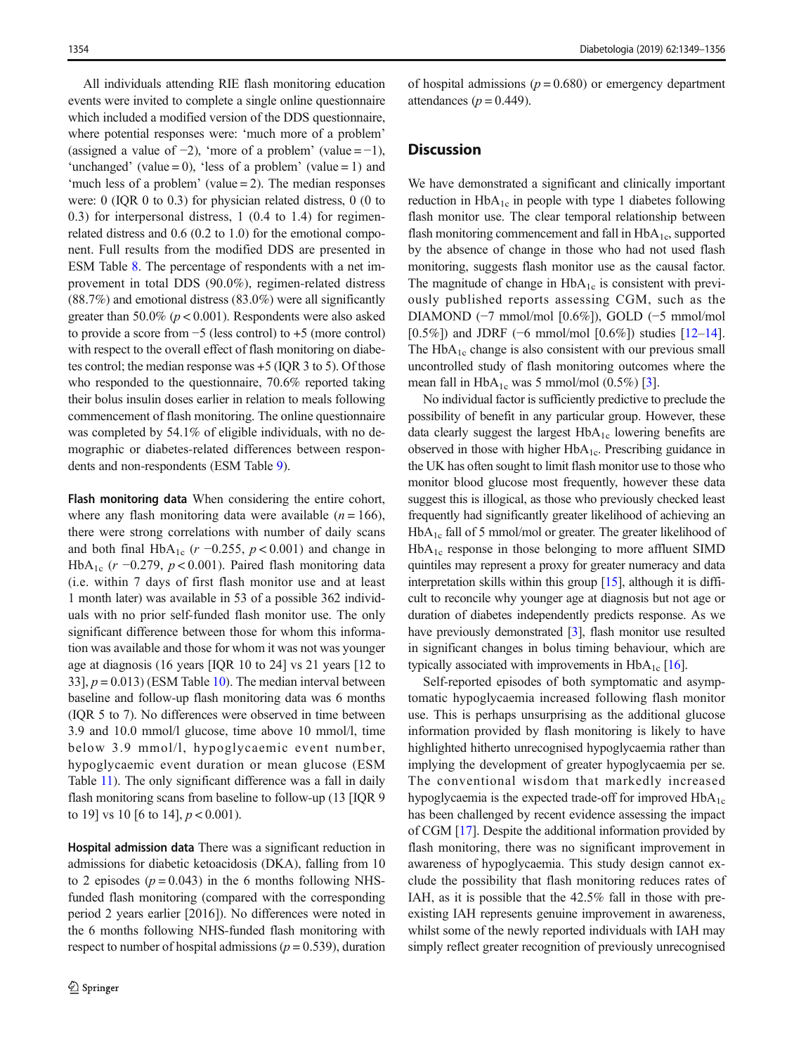All individuals attending RIE flash monitoring education events were invited to complete a single online questionnaire which included a modified version of the DDS questionnaire, where potential responses were: 'much more of a problem' (assigned a value of  $-2$ ), 'more of a problem' (value =  $-1$ ), 'unchanged' (value = 0), 'less of a problem' (value = 1) and 'much less of a problem' (value = 2). The median responses were: 0 (IQR 0 to 0.3) for physician related distress, 0 (0 to 0.3) for interpersonal distress, 1 (0.4 to 1.4) for regimenrelated distress and 0.6 (0.2 to 1.0) for the emotional component. Full results from the modified DDS are presented in ESM Table 8. The percentage of respondents with a net improvement in total DDS (90.0%), regimen-related distress (88.7%) and emotional distress (83.0%) were all significantly greater than 50.0% ( $p < 0.001$ ). Respondents were also asked to provide a score from −5 (less control) to +5 (more control) with respect to the overall effect of flash monitoring on diabetes control; the median response was +5 (IQR 3 to 5). Of those who responded to the questionnaire, 70.6% reported taking their bolus insulin doses earlier in relation to meals following commencement of flash monitoring. The online questionnaire was completed by 54.1% of eligible individuals, with no demographic or diabetes-related differences between respondents and non-respondents (ESM Table 9).

Flash monitoring data When considering the entire cohort, where any flash monitoring data were available  $(n = 166)$ , there were strong correlations with number of daily scans and both final HbA<sub>1c</sub> ( $r = 0.255$ ,  $p < 0.001$ ) and change in HbA<sub>1c</sub> (r -0.279, p < 0.001). Paired flash monitoring data (i.e. within 7 days of first flash monitor use and at least 1 month later) was available in 53 of a possible 362 individuals with no prior self-funded flash monitor use. The only significant difference between those for whom this information was available and those for whom it was not was younger age at diagnosis (16 years [IQR 10 to 24] vs 21 years [12 to 33],  $p = 0.013$ ) (ESM Table 10). The median interval between baseline and follow-up flash monitoring data was 6 months (IQR 5 to 7). No differences were observed in time between 3.9 and 10.0 mmol/l glucose, time above 10 mmol/l, time below 3.9 mmol/l, hypoglycaemic event number, hypoglycaemic event duration or mean glucose (ESM Table 11). The only significant difference was a fall in daily flash monitoring scans from baseline to follow-up (13 [IQR 9] to 19] vs 10 [6 to 14],  $p < 0.001$ ).

Hospital admission data There was a significant reduction in admissions for diabetic ketoacidosis (DKA), falling from 10 to 2 episodes  $(p = 0.043)$  in the 6 months following NHSfunded flash monitoring (compared with the corresponding period 2 years earlier [2016]). No differences were noted in the 6 months following NHS-funded flash monitoring with respect to number of hospital admissions ( $p = 0.539$ ), duration of hospital admissions ( $p = 0.680$ ) or emergency department attendances ( $p = 0.449$ ).

### **Discussion**

We have demonstrated a significant and clinically important reduction in  $HbA_{1c}$  in people with type 1 diabetes following flash monitor use. The clear temporal relationship between flash monitoring commencement and fall in  $HbA_{1c}$ , supported by the absence of change in those who had not used flash monitoring, suggests flash monitor use as the causal factor. The magnitude of change in  $HbA_{1c}$  is consistent with previously published reports assessing CGM, such as the DIAMOND (−7 mmol/mol [0.6%]), GOLD (−5 mmol/mol [0.5%]) and JDRF (−6 mmol/mol [0.6%]) studies [12–14]. The  $HbA_{1c}$  change is also consistent with our previous small uncontrolled study of flash monitoring outcomes where the mean fall in  $HbA_{1c}$  was 5 mmol/mol (0.5%) [3].

No individual factor is sufficiently predictive to preclude the possibility of benefit in any particular group. However, these data clearly suggest the largest  $HbA_{1c}$  lowering benefits are observed in those with higher  $HbA_{1c}$ . Prescribing guidance in the UK has often sought to limit flash monitor use to those who monitor blood glucose most frequently, however these data suggest this is illogical, as those who previously checked least frequently had significantly greater likelihood of achieving an  $HbA_{1c}$  fall of 5 mmol/mol or greater. The greater likelihood of  $HbA_{1c}$  response in those belonging to more affluent SIMD quintiles may represent a proxy for greater numeracy and data interpretation skills within this group [15], although it is difficult to reconcile why younger age at diagnosis but not age or duration of diabetes independently predicts response. As we have previously demonstrated [3], flash monitor use resulted in significant changes in bolus timing behaviour, which are typically associated with improvements in  $HbA_{1c}$  [16].

Self-reported episodes of both symptomatic and asymptomatic hypoglycaemia increased following flash monitor use. This is perhaps unsurprising as the additional glucose information provided by flash monitoring is likely to have highlighted hitherto unrecognised hypoglycaemia rather than implying the development of greater hypoglycaemia per se. The conventional wisdom that markedly increased hypoglycaemia is the expected trade-off for improved  $HbA_{1c}$ has been challenged by recent evidence assessing the impact of CGM [17]. Despite the additional information provided by flash monitoring, there was no significant improvement in awareness of hypoglycaemia. This study design cannot exclude the possibility that flash monitoring reduces rates of IAH, as it is possible that the 42.5% fall in those with preexisting IAH represents genuine improvement in awareness, whilst some of the newly reported individuals with IAH may simply reflect greater recognition of previously unrecognised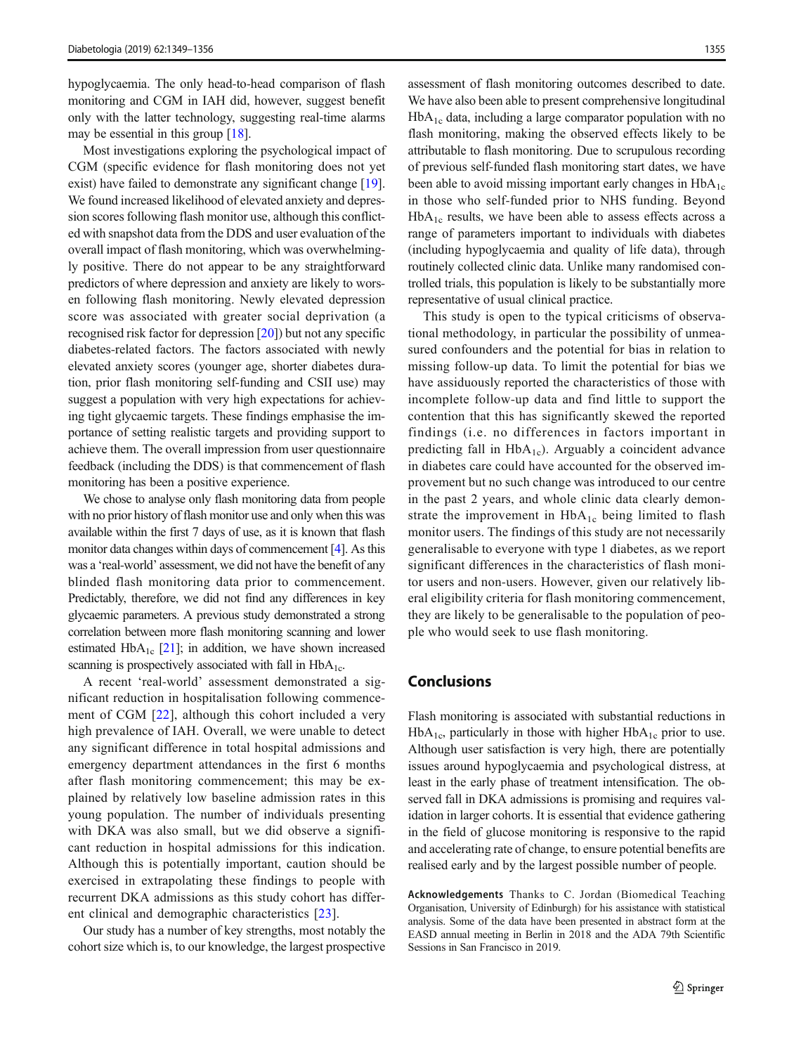hypoglycaemia. The only head-to-head comparison of flash monitoring and CGM in IAH did, however, suggest benefit only with the latter technology, suggesting real-time alarms may be essential in this group [18].

Most investigations exploring the psychological impact of CGM (specific evidence for flash monitoring does not yet exist) have failed to demonstrate any significant change [19]. We found increased likelihood of elevated anxiety and depression scores following flash monitor use, although this conflicted with snapshot data from the DDS and user evaluation of the overall impact of flash monitoring, which was overwhelmingly positive. There do not appear to be any straightforward predictors of where depression and anxiety are likely to worsen following flash monitoring. Newly elevated depression score was associated with greater social deprivation (a recognised risk factor for depression [20]) but not any specific diabetes-related factors. The factors associated with newly elevated anxiety scores (younger age, shorter diabetes duration, prior flash monitoring self-funding and CSII use) may suggest a population with very high expectations for achieving tight glycaemic targets. These findings emphasise the importance of setting realistic targets and providing support to achieve them. The overall impression from user questionnaire feedback (including the DDS) is that commencement of flash monitoring has been a positive experience.

We chose to analyse only flash monitoring data from people with no prior history of flash monitor use and only when this was available within the first 7 days of use, as it is known that flash monitor data changes within days of commencement [4]. As this was a 'real-world' assessment, we did not have the benefit of any blinded flash monitoring data prior to commencement. Predictably, therefore, we did not find any differences in key glycaemic parameters. A previous study demonstrated a strong correlation between more flash monitoring scanning and lower estimated  $HbA_{1c}$  [21]; in addition, we have shown increased scanning is prospectively associated with fall in  $HbA_{1c}$ .

A recent 'real-world' assessment demonstrated a significant reduction in hospitalisation following commencement of CGM [22], although this cohort included a very high prevalence of IAH. Overall, we were unable to detect any significant difference in total hospital admissions and emergency department attendances in the first 6 months after flash monitoring commencement; this may be explained by relatively low baseline admission rates in this young population. The number of individuals presenting with DKA was also small, but we did observe a significant reduction in hospital admissions for this indication. Although this is potentially important, caution should be exercised in extrapolating these findings to people with recurrent DKA admissions as this study cohort has different clinical and demographic characteristics [23].

Our study has a number of key strengths, most notably the cohort size which is, to our knowledge, the largest prospective assessment of flash monitoring outcomes described to date. We have also been able to present comprehensive longitudinal  $HbA_{1c}$  data, including a large comparator population with no flash monitoring, making the observed effects likely to be attributable to flash monitoring. Due to scrupulous recording of previous self-funded flash monitoring start dates, we have been able to avoid missing important early changes in  $HbA_{1c}$ in those who self-funded prior to NHS funding. Beyond  $HbA_{1c}$  results, we have been able to assess effects across a range of parameters important to individuals with diabetes (including hypoglycaemia and quality of life data), through routinely collected clinic data. Unlike many randomised controlled trials, this population is likely to be substantially more representative of usual clinical practice.

This study is open to the typical criticisms of observational methodology, in particular the possibility of unmeasured confounders and the potential for bias in relation to missing follow-up data. To limit the potential for bias we have assiduously reported the characteristics of those with incomplete follow-up data and find little to support the contention that this has significantly skewed the reported findings (i.e. no differences in factors important in predicting fall in  $HbA_{1c}$ ). Arguably a coincident advance in diabetes care could have accounted for the observed improvement but no such change was introduced to our centre in the past 2 years, and whole clinic data clearly demonstrate the improvement in  $HbA_{1c}$  being limited to flash monitor users. The findings of this study are not necessarily generalisable to everyone with type 1 diabetes, as we report significant differences in the characteristics of flash monitor users and non-users. However, given our relatively liberal eligibility criteria for flash monitoring commencement, they are likely to be generalisable to the population of people who would seek to use flash monitoring.

# Conclusions

Flash monitoring is associated with substantial reductions in  $HbA_{1c}$ , particularly in those with higher  $HbA_{1c}$  prior to use. Although user satisfaction is very high, there are potentially issues around hypoglycaemia and psychological distress, at least in the early phase of treatment intensification. The observed fall in DKA admissions is promising and requires validation in larger cohorts. It is essential that evidence gathering in the field of glucose monitoring is responsive to the rapid and accelerating rate of change, to ensure potential benefits are realised early and by the largest possible number of people.

Acknowledgements Thanks to C. Jordan (Biomedical Teaching Organisation, University of Edinburgh) for his assistance with statistical analysis. Some of the data have been presented in abstract form at the EASD annual meeting in Berlin in 2018 and the ADA 79th Scientific Sessions in San Francisco in 2019.